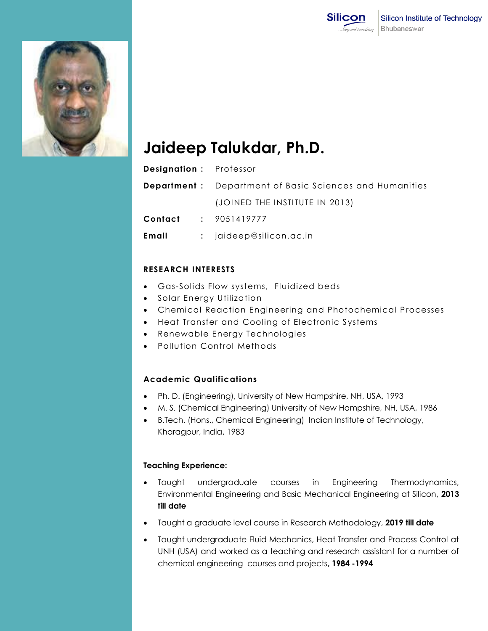



# **Jaideep Talukdar, Ph.D.**

| <b>Designation:</b> Professor |                                                                 |
|-------------------------------|-----------------------------------------------------------------|
|                               | <b>Department</b> : Department of Basic Sciences and Humanities |
|                               | (JOINED THE INSTITUTE IN 2013)                                  |
|                               | <b>Contact : 9051419777</b>                                     |
| Email                         | $:$ jaideep@silicon.ac.in                                       |

### **RESEARCH INTERESTS**

- Gas-Solids Flow systems, Fluidized beds
- Solar Energy Utilization
- Chemical Reaction Engineering and Photochemical Processes
- Heat Transfer and Cooling of Electronic Systems
- Renewable Energy Technologies
- Pollution Control Methods

## **Academic Qualifications**

- Ph. D. (Engineering), University of New Hampshire, NH, USA, 1993
- M. S. (Chemical Engineering) University of New Hampshire, NH, USA, 1986
- B.Tech. (Hons., Chemical Engineering) Indian Institute of Technology, Kharagpur, India, 1983

#### **Teaching Experience:**

- Taught undergraduate courses in Engineering Thermodynamics, Environmental Engineering and Basic Mechanical Engineering at Silicon, **2013 till date**
- Taught a graduate level course in Research Methodology, **2019 till date**
- Taught undergraduate Fluid Mechanics, Heat Transfer and Process Control at UNH (USA) and worked as a teaching and research assistant for a number of chemical engineering courses and projects**, 1984 -1994**